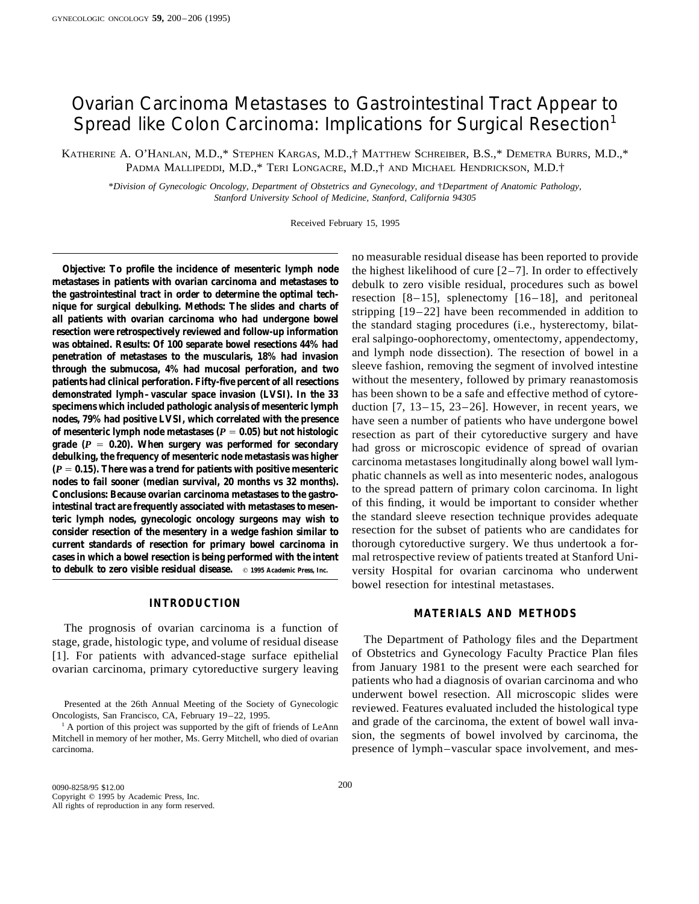# Ovarian Carcinoma Metastases to Gastrointestinal Tract Appear to Spread like Colon Carcinoma: Implications for Surgical Resection<sup>1</sup>

KATHERINE A. O'HANLAN, M.D.,\* STEPHEN KARGAS, M.D.,† MATTHEW SCHREIBER, B.S.,\* DEMETRA BURRS, M.D.,\* PADMA MALLIPEDDI, M.D.,\* TERI LONGACRE, M.D.,† AND MICHAEL HENDRICKSON, M.D.†

\**Division of Gynecologic Oncology, Department of Obstetrics and Gynecology, and* †*Department of Anatomic Pathology, Stanford University School of Medicine, Stanford, California 94305*

Received February 15, 1995

**Objective: To profile the incidence of mesenteric lymph node** the highest likelihood of cure [2–7]. In order to effectively metastases in patients with ovarian carcinoma and metastases to debulk to zero visible residual p metastases in patients with ovarian carcinoma and metastases to<br>
the gastrointestinal tract in order to determine the optimal tech-<br>
nique for surgical debulking. Methods: The slides and charts of<br>
all patients with ovaria **patients had clinical perforation. Fifty-five percent of all resections** without the mesentery, followed by primary reanastomosis **demonstrated lymph–vascular space invasion (LVSI). In the 33** has been shown to be a safe and effective method of cytore**specimens which included pathologic analysis of mesenteric lymph** duction [7, 13–15, 23–26]. However, in recent years, we nodes, 79% had positive LVSI, which correlated with the presence have seen a number of patients who **nodes, 79% had positive LVSI, which correlated with the presence** have seen a number of patients who have undergone bowel of mesenteric lymph node metastases  $(P = 0.15)$ . When surgery was performed for secondary<br>debulking, the frequency of mesenteric node metastasis was higher<br>debulking, the frequency of mesenteric node metastasis was higher<br> **consider resection of the mesentery in a wedge fashion similar to** resection for the subset of patients who are candidates for **current standards of resection for primary bowel carcinoma in** thorough cytoreductive surgery. We thus undertook a for**cases in which a bowel resection is being performed with the intent** mal retrospective review of patients treated at Stanford Unition of the intentional whomes who underwent

## **INTRODUCTION**

The prognosis of ovarian carcinoma is a function of stage, grade, histologic type, and volume of residual disease The Department of Pathology files and the Department<br>[1] For patients with advanced-stage surface epithelial of Obstetrics and Gynecology Faculty Practice Plan [1]. For patients with advanced-stage surface epithelial of Obstetrics and Gynecology Faculty Practice Plan files<br>ovarian carcinoma primary cytoreductive surgery leaving from January 1981 to the present were each searched ovarian carcinoma, primary cytoreductive surgery leaving

no measurable residual disease has been reported to provide versity Hospital for ovarian carcinoma who underwent bowel resection for intestinal metastases.

### **MATERIALS AND METHODS**

patients who had a diagnosis of ovarian carcinoma and who underwent bowel resection. All microscopic slides were Presented at the 26th Annual Meeting of the Society of Gynecologic reviewed. Features evaluated included the histological type Oncologists, San Francisco, CA, February 19–22, 1995.  $1$  A portion of this project was supported by the gift of friends of LeAnn and grade of the carcinoma, the extent of bowel wall inva-Mitchell in memory of her mother, Ms. Gerry Mitchell, who died of ovarian sion, the segments of bowel involved by carcinoma, the carcinoma. presence of lymph–vascular space involvement, and mes-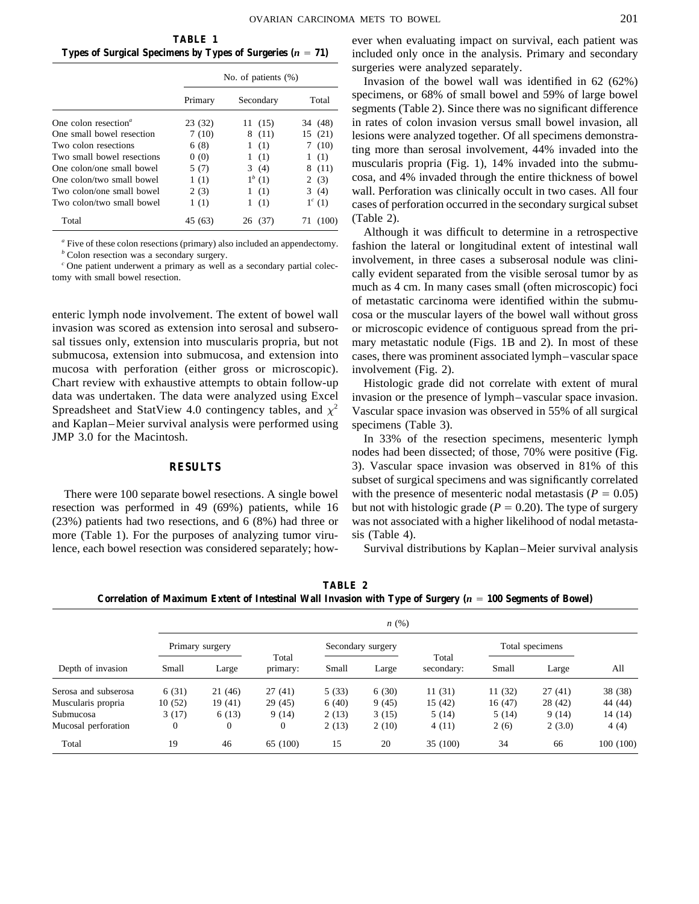|                                  | No. of patients $(\%)$ |             |           |
|----------------------------------|------------------------|-------------|-----------|
|                                  | Primary                | Secondary   | Total     |
| One colon resection <sup>a</sup> | 23 (32)                | 11 (15)     | 34 (48)   |
| One small bowel resection        | 7(10)                  | 8(11)       | 15 (21)   |
| Two colon resections             | 6(8)                   | (1)<br>1    | (10)<br>7 |
| Two small bowel resections       | 0(0)                   | (1)<br>1    | (1)<br>1  |
| One colon/one small bowel        | 5 (7)                  | 3(4)        | 8(11)     |
| One colon/two small bowel        | 1(1)                   | $1^{b} (1)$ | 2(3)      |
| Two colon/one small bowel        | 2(3)                   | (1)<br>1    | 3(4)      |
| Two colon/two small bowel        | 1(1)                   | (1)         | $1^c(1)$  |
| Total                            | 45 (63)                | 26<br>(37)  | (100)     |

invasion was scored as extension into serosal and subsero- or microscopic evidence of contiguous spread from the prisal tissues only, extension into muscularis propria, but not mary metastatic nodule (Figs. 1B and 2). In most of these submucosa, extension into submucosa, and extension into cases, there was prominent associated lymph–vascular space mucosa with perforation (either gross or microscopic). involvement (Fig. 2). Chart review with exhaustive attempts to obtain follow-up Histologic grade did not correlate with extent of mural data was undertaken. The data were analyzed using Excel invasion or the presence of lymph–vascular space invasion. Spreadsheet and StatView 4.0 contingency tables, and  $\chi^2$  Vascular space invasion was observed in 55% of all surgical and Kaplan–Meier survival analysis were performed using specimens (Table 3). JMP 3.0 for the Macintosh. In 33% of the resection specimens, mesenteric lymph

resection was performed in 49 (69%) patients, while 16 but not with histologic grade ( $P = 0.20$ ). The type of surgery (23%) patients had two resections, and 6 (8%) had three or was not associated with a higher likelihood of nodal metastamore (Table 1). For the purposes of analyzing tumor viru- sis (Table 4). lence, each bowel resection was considered separately; how- Survival distributions by Kaplan–Meier survival analysis

**TABLE 1** ever when evaluating impact on survival, each patient was **Types of Surgical Specimens by Types of Surgeries**  $(n = 71)$  **included only once in the analysis. Primary and secondary** surgeries were analyzed separately.

> Invasion of the bowel wall was identified in  $62$  (62%) specimens, or 68% of small bowel and 59% of large bowel segments (Table 2). Since there was no significant difference in rates of colon invasion versus small bowel invasion, all lesions were analyzed together. Of all specimens demonstrating more than serosal involvement, 44% invaded into the muscularis propria (Fig. 1), 14% invaded into the submucosa, and 4% invaded through the entire thickness of bowel wall. Perforation was clinically occult in two cases. All four cases of perforation occurred in the secondary surgical subset  $(Table 2).$

<sup>"</sup> Five of these colon resections (primary) also included an appendectomy.<br>
<sup>"</sup> Colon resection was a secondary surgery.<br>
<sup>"</sup> Colon resection was a secondary surgery.<br>
"One patient underwent a primary as well as a seconda much as 4 cm. In many cases small (often microscopic) foci of metastatic carcinoma were identified within the submuenteric lymph node involvement. The extent of bowel wall cosa or the muscular layers of the bowel wall without gross

nodes had been dissected; of those, 70% were positive (Fig. **RESULTS** 3). Vascular space invasion was observed in 81% of this subset of surgical specimens and was significantly correlated There were 100 separate bowel resections. A single bowel with the presence of mesenteric nodal metastasis ( $P = 0.05$ )

**TABLE 2** Correlation of Maximum Extent of Intestinal Wall Invasion with Type of Surgery (*n* = 100 Segments of Bowel)

|                      | n(%)           |                 |                   |       |                   |                     |        |                 |          |
|----------------------|----------------|-----------------|-------------------|-------|-------------------|---------------------|--------|-----------------|----------|
|                      |                | Primary surgery |                   |       | Secondary surgery |                     |        | Total specimens |          |
| Depth of invasion    | Small          | Large           | Total<br>primary: | Small | Large             | Total<br>secondary: | Small  | Large           | All      |
| Serosa and subserosa | 6(31)          | 21 (46)         | 27(41)            | 5(33) | 6(30)             | 11(31)              | 11(32) | 27(41)          | 38 (38)  |
| Muscularis propria   | 10(52)         | 19(41)          | 29 (45)           | 6(40) | 9(45)             | 15(42)              | 16(47) | 28 (42)         | 44 (44)  |
| Submucosa            | 3(17)          | 6(13)           | 9(14)             | 2(13) | 3(15)             | 5(14)               | 5(14)  | 9(14)           | 14 (14)  |
| Mucosal perforation  | $\overline{0}$ | $\overline{0}$  | $\overline{0}$    | 2(13) | 2(10)             | 4(11)               | 2(6)   | 2(3.0)          | 4(4)     |
| Total                | 19             | 46              | 65 (100)          | 15    | 20                | 35 (100)            | 34     | 66              | 100(100) |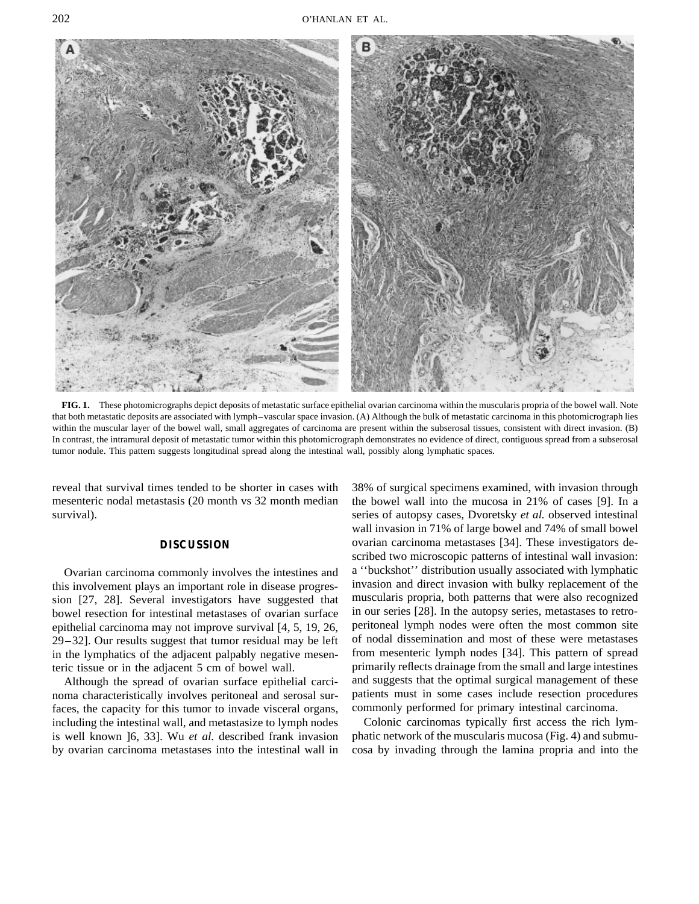

**FIG. 1.** These photomicrographs depict deposits of metastatic surface epithelial ovarian carcinoma within the muscularis propria of the bowel wall. Note that both metastatic deposits are associated with lymph–vascular space invasion. (A) Although the bulk of metastatic carcinoma in this photomicrograph lies within the muscular layer of the bowel wall, small aggregates of carcinoma are present within the subserosal tissues, consistent with direct invasion. (B) In contrast, the intramural deposit of metastatic tumor within this photomicrograph demonstrates no evidence of direct, contiguous spread from a subserosal tumor nodule. This pattern suggests longitudinal spread along the intestinal wall, possibly along lymphatic spaces.

mesenteric nodal metastasis (20 month vs 32 month median the bowel wall into the mucosa in 21% of cases [9]. In a survival). Series of autopsy cases, Dvoretsky *et al.* observed intestinal

this involvement plays an important role in disease progres- invasion and direct invasion with bulky replacement of the sion [27, 28]. Several investigators have suggested that muscularis propria, both patterns that were also recognized bowel resection for intestinal metastases of ovarian surface in our series [28]. In the autopsy series, metastases to retro-<br>epithelial carcinoma may not improve survival [4, 5, 19, 26] peritoneal lymph nodes were often th epithelial carcinoma may not improve survival  $[4, 5, 19, 26,$  peritoneal lymph nodes were often the most common site<br>29–321. Our results suggest that tumor residual may be left of nodal dissemination and most of these we  $29-32$ ]. Our results suggest that tumor residual may be left of nodal dissemination and most of these were metastases in the lymphatics of the adiacent palpably negative mesen-<br>from mesenteric lymph nodes [34]. This patt in the lymphatics of the adjacent palpably negative mesenteric tissue or in the adjacent 5 cm of bowel wall. primarily reflects drainage from the small and large intestines

noma characteristically involves peritoneal and serosal sur- patients must in some cases include resection procedures faces, the capacity for this tumor to invade visceral organs, commonly performed for primary intestinal carcinoma. including the intestinal wall, and metastasize to lymph nodes Colonic carcinomas typically first access the rich lymis well known ]6, 33]. Wu *et al.* described frank invasion phatic network of the muscularis mucosa (Fig. 4) and submuby ovarian carcinoma metastases into the intestinal wall in cosa by invading through the lamina propria and into the

reveal that survival times tended to be shorter in cases with 38% of surgical specimens examined, with invasion through wall invasion in 71% of large bowel and 74% of small bowel **DISCUSSION** ovarian carcinoma metastases [34]. These investigators described two microscopic patterns of intestinal wall invasion: Ovarian carcinoma commonly involves the intestines and a ''buckshot'' distribution usually associated with lymphatic Although the spread of ovarian surface epithelial carci- and suggests that the optimal surgical management of these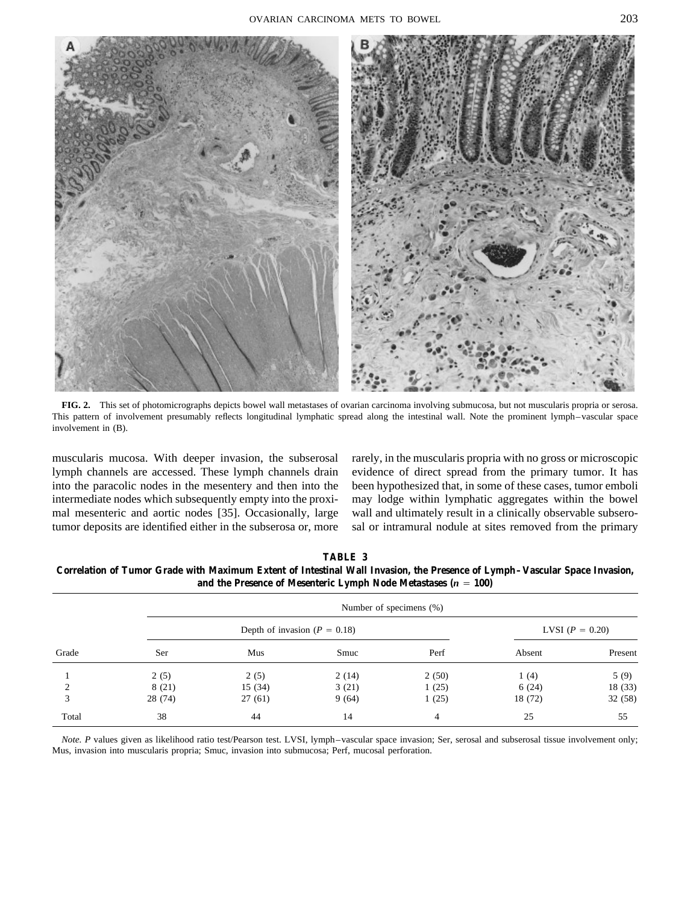

**FIG. 2.** This set of photomicrographs depicts bowel wall metastases of ovarian carcinoma involving submucosa, but not muscularis propria or serosa. This pattern of involvement presumably reflects longitudinal lymphatic spread along the intestinal wall. Note the prominent lymph–vascular space involvement in (B).

muscularis mucosa. With deeper invasion, the subserosal rarely, in the muscularis propria with no gross or microscopic lymph channels are accessed. These lymph channels drain evidence of direct spread from the primary tumor. It has into the paracolic nodes in the mesentery and then into the been hypothesized that, in some of these cases, tumor emboli intermediate nodes which subsequently empty into the proxi- may lodge within lymphatic aggregates within the bowel mal mesenteric and aortic nodes [35]. Occasionally, large wall and ultimately result in a clinically observable subserotumor deposits are identified either in the subserosa or, more sal or intramural nodule at sites removed from the primary

**TABLE 3**

**Correlation of Tumor Grade with Maximum Extent of Intestinal Wall Invasion, the Presence of Lymph–Vascular Space Invasion,** and the Presence of Mesenteric Lymph Node Metastases  $(n = 100)$ 

|               |         | Number of specimens (%)          |                   |       |         |         |  |  |
|---------------|---------|----------------------------------|-------------------|-------|---------|---------|--|--|
|               |         | Depth of invasion ( $P = 0.18$ ) | LVSI $(P = 0.20)$ |       |         |         |  |  |
| Grade         | Ser     | Mus                              | Smuc              | Perf  | Absent  | Present |  |  |
|               | 2(5)    | 2(5)                             | 2(14)             | 2(50) | 1(4)    | 5(9)    |  |  |
| $\mathcal{L}$ | 8(21)   | 15(34)                           | 3(21)             | 1(25) | 6(24)   | 18 (33) |  |  |
| 3             | 28 (74) | 27(61)                           | 9(64)             | 1(25) | 18 (72) | 32 (58) |  |  |
| Total         | 38      | 44                               | 14                | 4     | 25      | 55      |  |  |

*Note. P* values given as likelihood ratio test/Pearson test. LVSI, lymph–vascular space invasion; Ser, serosal and subserosal tissue involvement only; Mus, invasion into muscularis propria; Smuc, invasion into submucosa; Perf, mucosal perforation.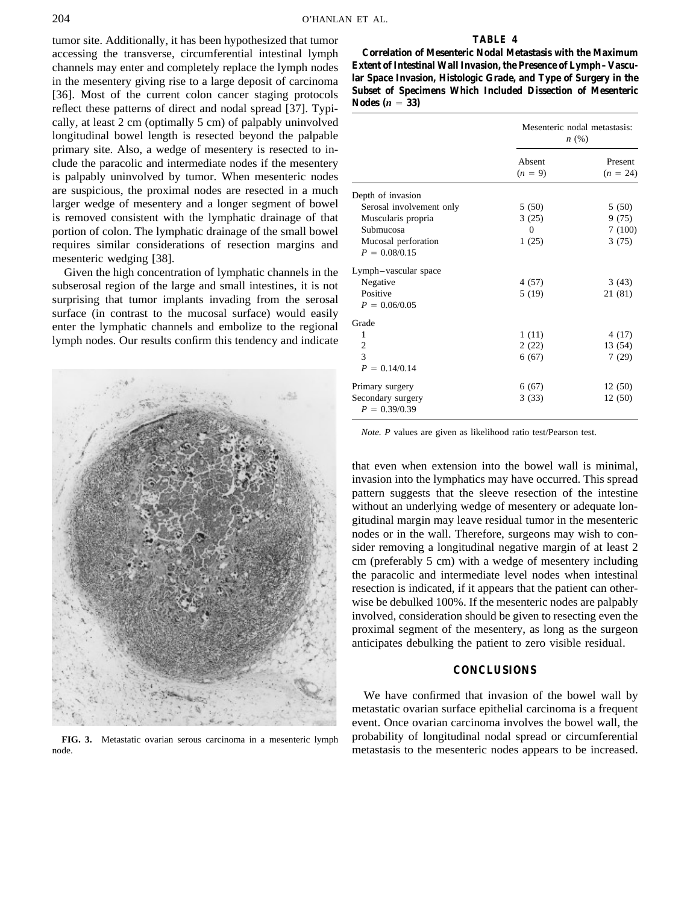tumor site. Additionally, it has been hypothesized that tumor **TABLE 4** accessing the transverse, circumferential intestinal lymph **Correlation of Mesenteric Nodal Metastasis with the Maximum** channels may enter and completely replace the lymph nodes **Extent of Intestinal Wall Invasion, the Presence of Lymph–Vascu**in the mesentery giving rise to a large deposit of carcinoma<br>[36]. Most of the current colon cancer staging protocols<br>reflect these patterns of direct and nodal spread [37]. Typi-<br> $\frac{\text{Nodes } (n = 33)}{\text{Nodes } (n = 33)}$ cally, at least  $2 \text{ cm}$  (optimally  $5 \text{ cm}$ ) of palpably uninvolved longitudinal bowel length is resected beyond the palpable primary site. Also, a wedge of mesentery is resected to include the paracolic and intermediate nodes if the mesentery is palpably uninvolved by tumor. When mesenteric nodes are suspicious, the proximal nodes are resected in a much larger wedge of mesentery and a longer segment of bowel is removed consistent with the lymphatic drainage of that portion of colon. The lymphatic drainage of the small bowel requires similar considerations of resection margins and mesenteric wedging [38].

Given the high concentration of lymphatic channels in the subserosal region of the large and small intestines, it is not surprising that tumor implants invading from the serosal surface (in contrast to the mucosal surface) would easily enter the lymphatic channels and embolize to the regional lymph nodes. Our results confirm this tendency and indicate



|                                      | Mesenteric nodal metastasis:<br>n(%) |                       |  |
|--------------------------------------|--------------------------------------|-----------------------|--|
|                                      | Absent<br>$(n = 9)$                  | Present<br>$(n = 24)$ |  |
| Depth of invasion                    |                                      |                       |  |
| Serosal involvement only             | 5(50)                                | 5(50)                 |  |
| Muscularis propria                   | 3(25)                                | 9(75)                 |  |
| Submucosa                            | 0                                    | 7(100)                |  |
| Mucosal perforation                  | 1(25)                                | 3(75)                 |  |
| $P = 0.08/0.15$                      |                                      |                       |  |
| Lymph-vascular space                 |                                      |                       |  |
| Negative                             | 4(57)                                | 3(43)                 |  |
| Positive                             | 5(19)                                | 21 (81)               |  |
| $P = 0.06/0.05$                      |                                      |                       |  |
| Grade                                |                                      |                       |  |
| 1                                    | 1(11)                                | 4(17)                 |  |
| $\overline{c}$                       | 2(22)                                | 13 (54)               |  |
| $\overline{3}$                       | 6(67)                                | 7(29)                 |  |
| $P = 0.14/0.14$                      |                                      |                       |  |
| Primary surgery                      | 6(67)                                | 12(50)                |  |
| Secondary surgery<br>$P = 0.39/0.39$ | 3(33)                                | 12(50)                |  |

*Note. P* values are given as likelihood ratio test/Pearson test.

that even when extension into the bowel wall is minimal, invasion into the lymphatics may have occurred. This spread pattern suggests that the sleeve resection of the intestine without an underlying wedge of mesentery or adequate longitudinal margin may leave residual tumor in the mesenteric nodes or in the wall. Therefore, surgeons may wish to consider removing a longitudinal negative margin of at least 2 cm (preferably 5 cm) with a wedge of mesentery including the paracolic and intermediate level nodes when intestinal resection is indicated, if it appears that the patient can otherwise be debulked 100%. If the mesenteric nodes are palpably involved, consideration should be given to resecting even the proximal segment of the mesentery, as long as the surgeon anticipates debulking the patient to zero visible residual.

### **CONCLUSIONS**

We have confirmed that invasion of the bowel wall by metastatic ovarian surface epithelial carcinoma is a frequent event. Once ovarian carcinoma involves the bowel wall, the FIG. 3. Metastatic ovarian serous carcinoma in a mesenteric lymph probability of longitudinal nodal spread or circumferential node. metastasis to the mesenteric nodes appears to be increased.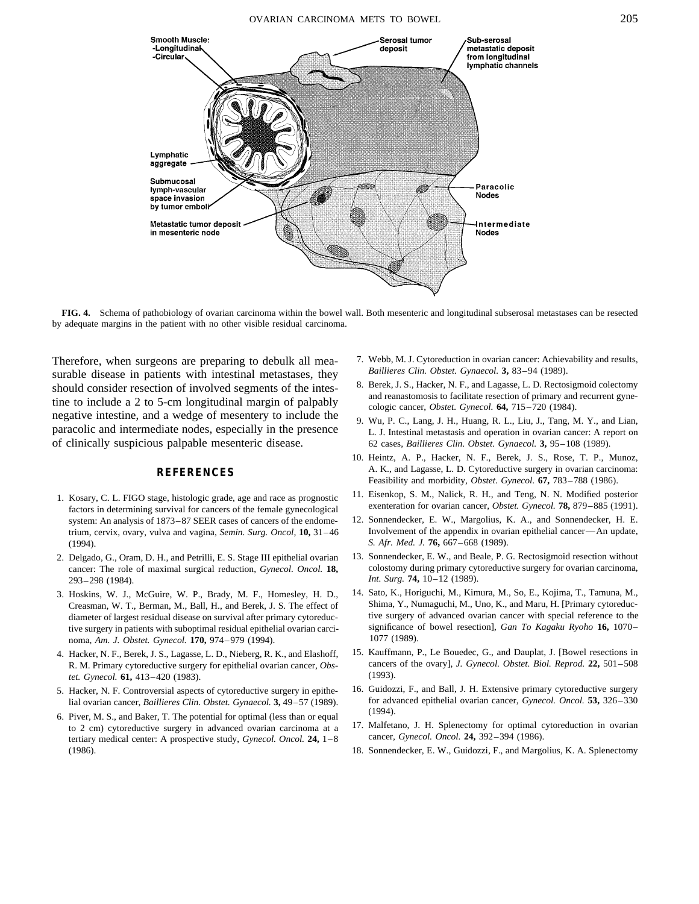

**FIG. 4.** Schema of pathobiology of ovarian carcinoma within the bowel wall. Both mesenteric and longitudinal subserosal metastases can be resected by adequate margins in the patient with no other visible residual carcinoma.

*Baillieres Clin. Obstet. Gynaecol.* **3,** 83–94 (1989).<br>should consider resection of involved segments of the integ. 8. Berek, J. S., Hacker, N. F., and Lagasse, L. D. Rectosigmoid colectomy should consider resection of involved segments of the intes-<br>tine to include a 2 to 5-cm longitudinal margin of palpably<br>negative intestine, and a wedge of mesentery to include the<br>paracolic and intermediate nodes, especia of clinically suspicious palpable mesenteric disease. 62 cases, *Baillieres Clin. Obstet. Gynaecol.* **3,** 95–108 (1989).

- 1. Kosary, C. L. FIGO stage, histologic grade, age and race as prognostic actors in determining survival for cancers of the female gynecological factors in determining survival for cancers of the female gynecological syste system: An analysis of 1873–87 SEER cases of cancers of the endome-(1994). *S. Afr. Med. J.* **76,** 667–668 (1989).
- 293–298 (1984). *Int. Surg.* **74,** 10–12 (1989).
- tive surgery in patients with suboptimal residual epithelial ovarian carci-<br>noma Am I Obstet Gynecol **170**, 974–979 (1994), <sup>1</sup> 1077 (1989). noma, *Am. J. Obstet. Gynecol.* **170,** 974–979 (1994).
- R. M. Primary cytoreductive surgery for epithelial ovarian cancer, *Obs* cancers *tet. Gynecol.* **61**, 413–420 (1983). (1993). (1993). *tet. Gynecol.* **61,** 413–420 (1983).
- 
- 6. Piver, M. S., and Baker, T. The potential for optimal (less than or equal to 2 cm) cytoreductive surgery in advanced ovarian carcinoma at a 17. Malfetano, J. H. Splenectomy for optimal cytoreduction in ovarian terriary medical center: A propective study Gynecol Oncol 24 1–8 cancer, Gynecol, Onco tertiary medical center: A prospective study, *Gynecol. Oncol.* **24,** 1–8 (1986). 18. Sonnendecker, E. W., Guidozzi, F., and Margolius, K. A. Splenectomy
- Therefore, when surgeons are preparing to debulk all mea-<br>  $\frac{7. \text{Webb, M.J. Cytoreduction in ovarian cancer: Achievability and results,}}{Baillieres Clin. Obster. Gynaecol. }$ <br>  $\frac{3, 83-94 (1989).}{2, 83-94 (1989).}$ 
	-
	-
	- 10. Heintz, A. P., Hacker, N. F., Berek, J. S., Rose, T. P., Munoz, A. K., and Lagasse, L. D. Cytoreductive surgery in ovarian carcinoma: **REFERENCES** Feasibility and morbidity, *Obstet. Gynecol.* **67,** 783–788 (1986).
		-
	- trium, cervix, ovary, vulva and vagina, *Semin. Surg. Oncol*, **10**, 31-46 Involvement of the appendix in ovarian epithelial cancer—An update,
- 2. Delgado, G., Oram, D. H., and Petrilli, E. S. Stage III epithelial ovarian 13. Sonnendecker, E. W., and Beale, P. G. Rectosigmoid resection without cancer: The role of maximal surgical reduction, *Gynecol. Oncol.* **18,** colostomy during primary cytoreductive surgery for ovarian carcinoma,
- 3. Hoskins, W. J., McGuire, W. P., Brady, M. F., Homesley, H. D., 14. Sato, K., Horiguchi, M., Kimura, M., So, E., Kojima, T., Tamuna, M., Creasman, W. T., Berman, M., Ball, H., and Berek, J. S. The effect of Shima, Y., Numaguchi, M., Uno, K., and Maru, H. [Primary cytoreducdiameter of largest residual disease on survival after primary cytoreduc-<br>tive surgery of advanced ovarian cancer to the tive surgery of advanced ovarian cancer with special reference to the<br>significance of bowel resection
- 4. Hacker, N. F., Berek, J. S., Lagasse, L. D., Nieberg, R. K., and Elashoff, 15. Kauffmann, P., Le Bouedec, G., and Dauplat, J. [Bowel resections in R. M. Primary evtoreductive surgery for epithelial ovarian cancer. *Obs*
- 5. Hacker, N. F. Controversial aspects of cytoreductive surgery in epithe- 16. Guidozzi, F., and Ball, J. H. Extensive primary cytoreductive surgery lial ovarian cancer, *Baillieres Clin. Obstet. Gynaecol.* **3,** 49–57 (1989). for advanced epithelial ovarian cancer, *Gynecol. Oncol.* **53,** 326–330
	-
	-